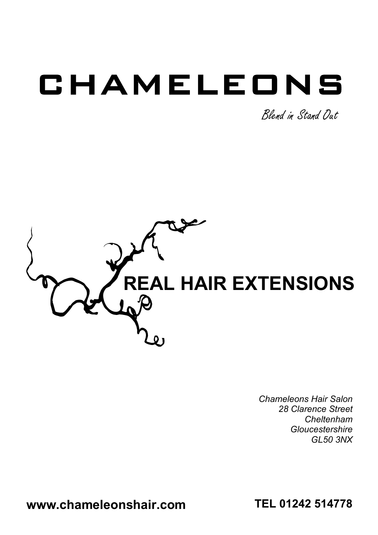# CHAMELEONS

Blend in Stand Out



*Chameleons Hair Salon 28 Clarence Street Cheltenham Gloucestershire GL50 3NX*

**www.chameleonshair.com**

**TEL 01242 514778**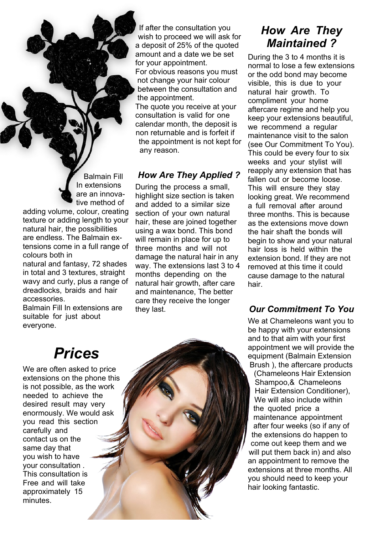Balmain Fill In extensions are an innovative method of adding volume, colour, creating texture or adding length to your natural hair, the possibilities are endless. The Balmain extensions come in a full range of

colours both in natural and fantasy, 72 shades in total and 3 textures, straight wavy and curly, plus a range of dreadlocks, braids and hair accessories.

Balmain Fill In extensions are suitable for just about everyone.

#### If after the consultation you wish to proceed we will ask for a deposit of 25% of the quoted amount and a date we be set for your appointment. For obvious reasons you must not change your hair colour between the consultation and the appointment. The quote you receive at your consultation is valid for one

calendar month, the deposit is non returnable and is forfeit if the appointment is not kept for any reason.

#### *How Are They Applied ?*

During the process a small, highlight size section is taken and added to a similar size section of your own natural hair, these are joined together using a wax bond. This bond will remain in place for up to three months and will not damage the natural hair in any way. The extensions last 3 to 4 months depending on the natural hair growth, after care and maintenance, The better care they receive the longer they last.

#### *How Are They Maintained ?*

During the 3 to 4 months it is normal to lose a few extensions or the odd bond may become visible, this is due to your natural hair growth. To compliment your home aftercare regime and help you keep your extensions beautiful, we recommend a regular maintenance visit to the salon (see Our Commitment To You). This could be every four to six weeks and your stylist will reapply any extension that has fallen out or become loose. This will ensure they stay looking great. We recommend a full removal after around three months. This is because as the extensions move down the hair shaft the bonds will begin to show and your natural hair loss is held within the extension bond. If they are not removed at this time it could cause damage to the natural hair.

#### *Our Commitment To You*

We at Chameleons want you to be happy with your extensions and to that aim with your first appointment we will provide the equipment (Balmain Extension Brush ), the aftercare products (Chameleons Hair Extension Shampoo,& Chameleons Hair Extension Conditioner), We will also include within the quoted price a maintenance appointment after four weeks (so if any of the extensions do happen to come out keep them and we will put them back in) and also an appointment to remove the extensions at three months. All you should need to keep your hair looking fantastic.

# *Prices*

We are often asked to price extensions on the phone this is not possible, as the work needed to achieve the desired result may very enormously. We would ask you read this section carefully and contact us on the same day that you wish to have your consultation . This consultation is Free and will take approximately 15 minutes.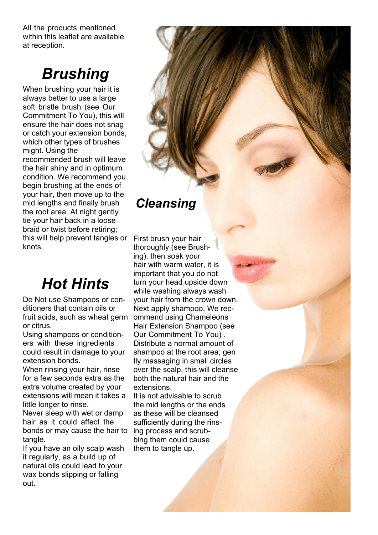All the products mentioned within this leaflet are available at reception.

# *Brushing*

When brushing your hair it is always better to use a large soft bristle brush (see Our Commitment To You), this will ensure the hair does not snag or catch your extension bonds, which other types of brushes might. Using the recommended brush will leave the hair shiny and in optimum condition. We recommend you begin brushing at the ends of your hair, then move up to the mid lengths and finally brush the root area. At night gently tie your hair back in a loose braid or twist before retiring; this will help prevent tangles or First brush your hair knots.

# *Hot Hints*

Do Not use Shampoos or conditioners that contain oils or fruit acids, such as wheat germ or citrus.

Using shampoos or conditioners with these ingredients could result in damage to your extension bonds.

When rinsing your hair, rinse for a few seconds extra as the extra volume created by your extensions will mean it takes a little longer to rinse.

Never sleep with wet or damp hair as it could affect the bonds or may cause the hair to tangle.

If you have an oily scalp wash it regularly, as a build up of natural oils could lead to your wax bonds slipping or falling out.

### *Cleansing*

thoroughly (see Brushing), then soak your hair with warm water, it is important that you do not turn your head upside down while washing always wash your hair from the crown down. Next apply shampoo, We recommend using Chameleons Hair Extension Shampoo (see Our Commitment To You) . Distribute a normal amount of shampoo at the root area; gen tly massaging in small circles over the scalp, this will cleanse both the natural hair and the extensions.

It is not advisable to scrub the mid lengths or the ends as these will be cleansed sufficiently during the rinsing process and scrubbing them could cause them to tangle up.